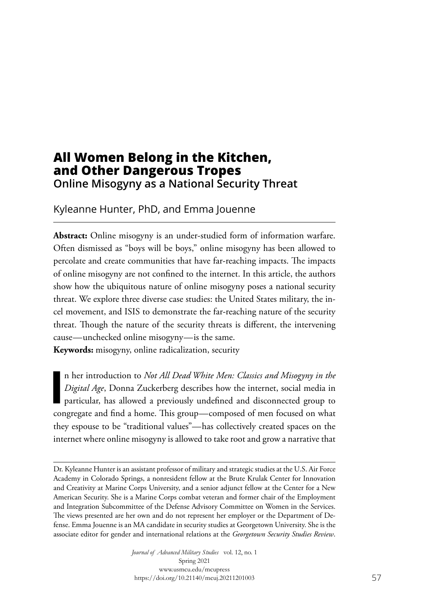# **All Women Belong in the Kitchen, and Other Dangerous Tropes Online Misogyny as a National Security Threat**

Kyleanne Hunter, PhD, and Emma Jouenne

**Abstract:** Online misogyny is an under-studied form of information warfare. Often dismissed as "boys will be boys," online misogyny has been allowed to percolate and create communities that have far-reaching impacts. The impacts of online misogyny are not confined to the internet. In this article, the authors show how the ubiquitous nature of online misogyny poses a national security threat. We explore three diverse case studies: the United States military, the incel movement, and ISIS to demonstrate the far-reaching nature of the security threat. Though the nature of the security threats is different, the intervening cause—unchecked online misogyny—is the same.

**Keywords:** misogyny, online radicalization, security

**I** n her introduction to *Not All Dead White Men: Classics and Misogyny in the Digital Age*, Donna Zuckerberg describes how the internet, social media in particular, has allowed a previously undefined and disconnected group to congregate and find a home. This group—composed of men focused on what they espouse to be "traditional values"—has collectively created spaces on the internet where online misogyny is allowed to take root and grow a narrative that

*Journal of Advanced Military Studies* vol. 12, no. 1 Spring 2021 www.usmcu.edu/mcupress https://doi.org/10.21140/mcuj.20211201003

Dr. Kyleanne Hunter is an assistant professor of military and strategic studies at the U.S. Air Force Academy in Colorado Springs, a nonresident fellow at the Brute Krulak Center for Innovation and Creativity at Marine Corps University, and a senior adjunct fellow at the Center for a New American Security. She is a Marine Corps combat veteran and former chair of the Employment and Integration Subcommittee of the Defense Advisory Committee on Women in the Services. The views presented are her own and do not represent her employer or the Department of Defense. Emma Jouenne is an MA candidate in security studies at Georgetown University. She is the associate editor for gender and international relations at the *Georgetown Security Studies Review*.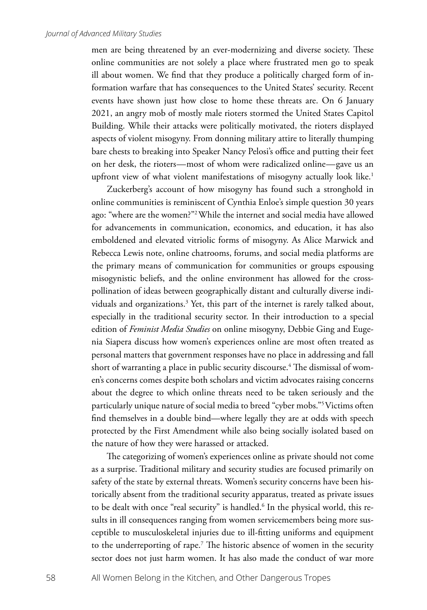men are being threatened by an ever-modernizing and diverse society. These online communities are not solely a place where frustrated men go to speak ill about women. We find that they produce a politically charged form of information warfare that has consequences to the United States' security. Recent events have shown just how close to home these threats are. On 6 January 2021, an angry mob of mostly male rioters stormed the United States Capitol Building. While their attacks were politically motivated, the rioters displayed aspects of violent misogyny. From donning military attire to literally thumping bare chests to breaking into Speaker Nancy Pelosi's office and putting their feet on her desk, the rioters—most of whom were radicalized online—gave us an upfront view of what violent manifestations of misogyny actually look like.<sup>1</sup>

Zuckerberg's account of how misogyny has found such a stronghold in online communities is reminiscent of Cynthia Enloe's simple question 30 years ago: "where are the women?"2 While the internet and social media have allowed for advancements in communication, economics, and education, it has also emboldened and elevated vitriolic forms of misogyny. As Alice Marwick and Rebecca Lewis note, online chatrooms, forums, and social media platforms are the primary means of communication for communities or groups espousing misogynistic beliefs, and the online environment has allowed for the crosspollination of ideas between geographically distant and culturally diverse individuals and organizations.<sup>3</sup> Yet, this part of the internet is rarely talked about, especially in the traditional security sector. In their introduction to a special edition of *Feminist Media Studies* on online misogyny, Debbie Ging and Eugenia Siapera discuss how women's experiences online are most often treated as personal matters that government responses have no place in addressing and fall short of warranting a place in public security discourse.<sup>4</sup> The dismissal of women's concerns comes despite both scholars and victim advocates raising concerns about the degree to which online threats need to be taken seriously and the particularly unique nature of social media to breed "cyber mobs."5 Victims often find themselves in a double bind—where legally they are at odds with speech protected by the First Amendment while also being socially isolated based on the nature of how they were harassed or attacked.

The categorizing of women's experiences online as private should not come as a surprise. Traditional military and security studies are focused primarily on safety of the state by external threats. Women's security concerns have been historically absent from the traditional security apparatus, treated as private issues to be dealt with once "real security" is handled.6 In the physical world, this results in ill consequences ranging from women servicemembers being more susceptible to musculoskeletal injuries due to ill-fitting uniforms and equipment to the underreporting of rape.7 The historic absence of women in the security sector does not just harm women. It has also made the conduct of war more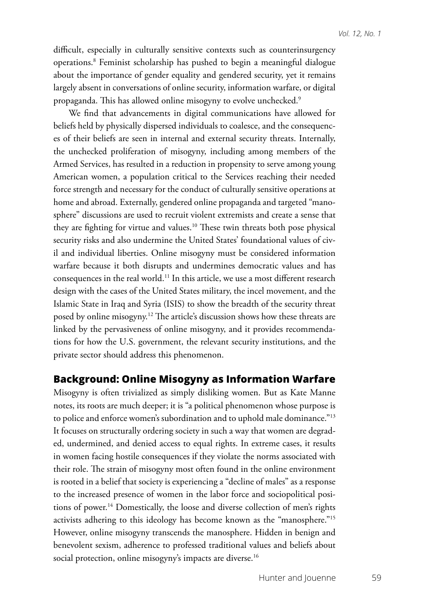difficult, especially in culturally sensitive contexts such as counterinsurgency operations.8 Feminist scholarship has pushed to begin a meaningful dialogue about the importance of gender equality and gendered security, yet it remains largely absent in conversations of online security, information warfare, or digital propaganda. This has allowed online misogyny to evolve unchecked.9

We find that advancements in digital communications have allowed for beliefs held by physically dispersed individuals to coalesce, and the consequences of their beliefs are seen in internal and external security threats. Internally, the unchecked proliferation of misogyny, including among members of the Armed Services, has resulted in a reduction in propensity to serve among young American women, a population critical to the Services reaching their needed force strength and necessary for the conduct of culturally sensitive operations at home and abroad. Externally, gendered online propaganda and targeted "manosphere" discussions are used to recruit violent extremists and create a sense that they are fighting for virtue and values.<sup>10</sup> These twin threats both pose physical security risks and also undermine the United States' foundational values of civil and individual liberties. Online misogyny must be considered information warfare because it both disrupts and undermines democratic values and has consequences in the real world.11 In this article, we use a most different research design with the cases of the United States military, the incel movement, and the Islamic State in Iraq and Syria (ISIS) to show the breadth of the security threat posed by online misogyny.12 The article's discussion shows how these threats are linked by the pervasiveness of online misogyny, and it provides recommendations for how the U.S. government, the relevant security institutions, and the private sector should address this phenomenon.

## **Background: Online Misogyny as Information Warfare**

Misogyny is often trivialized as simply disliking women. But as Kate Manne notes, its roots are much deeper; it is "a political phenomenon whose purpose is to police and enforce women's subordination and to uphold male dominance."13 It focuses on structurally ordering society in such a way that women are degraded, undermined, and denied access to equal rights. In extreme cases, it results in women facing hostile consequences if they violate the norms associated with their role. The strain of misogyny most often found in the online environment is rooted in a belief that society is experiencing a "decline of males" as a response to the increased presence of women in the labor force and sociopolitical positions of power.14 Domestically, the loose and diverse collection of men's rights activists adhering to this ideology has become known as the "manosphere."15 However, online misogyny transcends the manosphere. Hidden in benign and benevolent sexism, adherence to professed traditional values and beliefs about social protection, online misogyny's impacts are diverse.<sup>16</sup>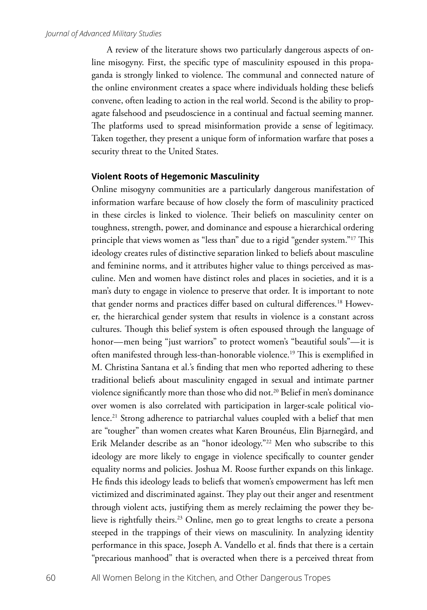A review of the literature shows two particularly dangerous aspects of online misogyny. First, the specific type of masculinity espoused in this propaganda is strongly linked to violence. The communal and connected nature of the online environment creates a space where individuals holding these beliefs convene, often leading to action in the real world. Second is the ability to propagate falsehood and pseudoscience in a continual and factual seeming manner. The platforms used to spread misinformation provide a sense of legitimacy. Taken together, they present a unique form of information warfare that poses a security threat to the United States.

### **Violent Roots of Hegemonic Masculinity**

Online misogyny communities are a particularly dangerous manifestation of information warfare because of how closely the form of masculinity practiced in these circles is linked to violence. Their beliefs on masculinity center on toughness, strength, power, and dominance and espouse a hierarchical ordering principle that views women as "less than" due to a rigid "gender system."17 This ideology creates rules of distinctive separation linked to beliefs about masculine and feminine norms, and it attributes higher value to things perceived as masculine. Men and women have distinct roles and places in societies, and it is a man's duty to engage in violence to preserve that order. It is important to note that gender norms and practices differ based on cultural differences.<sup>18</sup> However, the hierarchical gender system that results in violence is a constant across cultures. Though this belief system is often espoused through the language of honor—men being "just warriors" to protect women's "beautiful souls"—it is often manifested through less-than-honorable violence.19 This is exemplified in M. Christina Santana et al.'s finding that men who reported adhering to these traditional beliefs about masculinity engaged in sexual and intimate partner violence significantly more than those who did not.<sup>20</sup> Belief in men's dominance over women is also correlated with participation in larger-scale political violence.<sup>21</sup> Strong adherence to patriarchal values coupled with a belief that men are "tougher" than women creates what Karen Brounéus, Elin Bjarnegård, and Erik Melander describe as an "honor ideology."<sup>22</sup> Men who subscribe to this ideology are more likely to engage in violence specifically to counter gender equality norms and policies. Joshua M. Roose further expands on this linkage. He finds this ideology leads to beliefs that women's empowerment has left men victimized and discriminated against. They play out their anger and resentment through violent acts, justifying them as merely reclaiming the power they believe is rightfully theirs.<sup>23</sup> Online, men go to great lengths to create a persona steeped in the trappings of their views on masculinity. In analyzing identity performance in this space, Joseph A. Vandello et al. finds that there is a certain "precarious manhood" that is overacted when there is a perceived threat from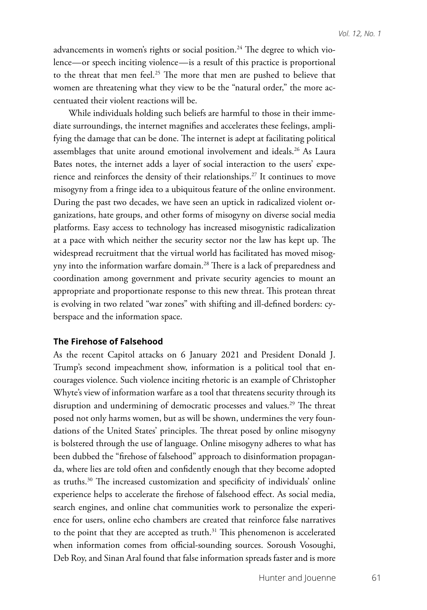advancements in women's rights or social position.<sup>24</sup> The degree to which violence—or speech inciting violence—is a result of this practice is proportional to the threat that men feel.<sup>25</sup> The more that men are pushed to believe that women are threatening what they view to be the "natural order," the more accentuated their violent reactions will be.

While individuals holding such beliefs are harmful to those in their immediate surroundings, the internet magnifies and accelerates these feelings, amplifying the damage that can be done. The internet is adept at facilitating political assemblages that unite around emotional involvement and ideals.<sup>26</sup> As Laura Bates notes, the internet adds a layer of social interaction to the users' experience and reinforces the density of their relationships.<sup>27</sup> It continues to move misogyny from a fringe idea to a ubiquitous feature of the online environment. During the past two decades, we have seen an uptick in radicalized violent organizations, hate groups, and other forms of misogyny on diverse social media platforms. Easy access to technology has increased misogynistic radicalization at a pace with which neither the security sector nor the law has kept up. The widespread recruitment that the virtual world has facilitated has moved misogyny into the information warfare domain.28 There is a lack of preparedness and coordination among government and private security agencies to mount an appropriate and proportionate response to this new threat. This protean threat is evolving in two related "war zones" with shifting and ill-defined borders: cyberspace and the information space.

### **The Firehose of Falsehood**

As the recent Capitol attacks on 6 January 2021 and President Donald J. Trump's second impeachment show, information is a political tool that encourages violence. Such violence inciting rhetoric is an example of Christopher Whyte's view of information warfare as a tool that threatens security through its disruption and undermining of democratic processes and values.<sup>29</sup> The threat posed not only harms women, but as will be shown, undermines the very foundations of the United States' principles. The threat posed by online misogyny is bolstered through the use of language. Online misogyny adheres to what has been dubbed the "firehose of falsehood" approach to disinformation propaganda, where lies are told often and confidently enough that they become adopted as truths.<sup>30</sup> The increased customization and specificity of individuals' online experience helps to accelerate the firehose of falsehood effect. As social media, search engines, and online chat communities work to personalize the experience for users, online echo chambers are created that reinforce false narratives to the point that they are accepted as truth.<sup>31</sup> This phenomenon is accelerated when information comes from official-sounding sources. Soroush Vosoughi, Deb Roy, and Sinan Aral found that false information spreads faster and is more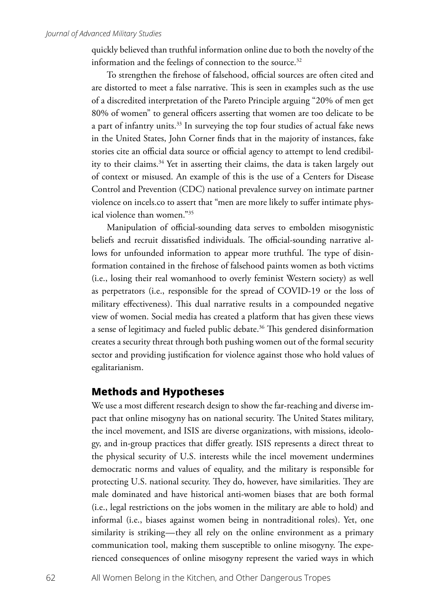quickly believed than truthful information online due to both the novelty of the information and the feelings of connection to the source.<sup>32</sup>

To strengthen the firehose of falsehood, official sources are often cited and are distorted to meet a false narrative. This is seen in examples such as the use of a discredited interpretation of the Pareto Principle arguing "20% of men get 80% of women" to general officers asserting that women are too delicate to be a part of infantry units.<sup>33</sup> In surveying the top four studies of actual fake news in the United States, John Corner finds that in the majority of instances, fake stories cite an official data source or official agency to attempt to lend credibility to their claims.<sup>34</sup> Yet in asserting their claims, the data is taken largely out of context or misused. An example of this is the use of a Centers for Disease Control and Prevention (CDC) national prevalence survey on intimate partner violence on incels.co to assert that "men are more likely to suffer intimate physical violence than women."35

Manipulation of official-sounding data serves to embolden misogynistic beliefs and recruit dissatisfied individuals. The official-sounding narrative allows for unfounded information to appear more truthful. The type of disinformation contained in the firehose of falsehood paints women as both victims (i.e., losing their real womanhood to overly feminist Western society) as well as perpetrators (i.e., responsible for the spread of COVID-19 or the loss of military effectiveness). This dual narrative results in a compounded negative view of women. Social media has created a platform that has given these views a sense of legitimacy and fueled public debate.<sup>36</sup> This gendered disinformation creates a security threat through both pushing women out of the formal security sector and providing justification for violence against those who hold values of egalitarianism.

## **Methods and Hypotheses**

We use a most different research design to show the far-reaching and diverse impact that online misogyny has on national security. The United States military, the incel movement, and ISIS are diverse organizations, with missions, ideology, and in-group practices that differ greatly. ISIS represents a direct threat to the physical security of U.S. interests while the incel movement undermines democratic norms and values of equality, and the military is responsible for protecting U.S. national security. They do, however, have similarities. They are male dominated and have historical anti-women biases that are both formal (i.e., legal restrictions on the jobs women in the military are able to hold) and informal (i.e., biases against women being in nontraditional roles). Yet, one similarity is striking—they all rely on the online environment as a primary communication tool, making them susceptible to online misogyny. The experienced consequences of online misogyny represent the varied ways in which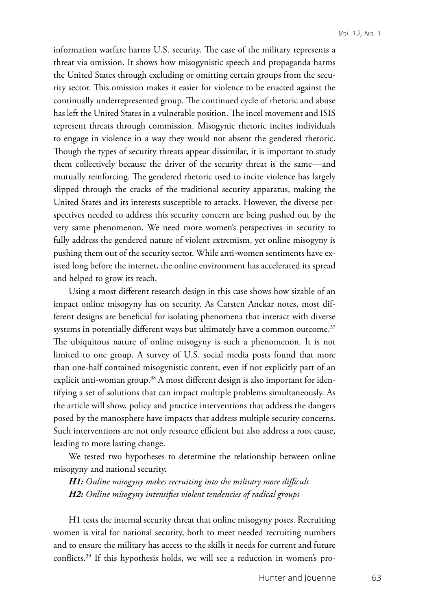information warfare harms U.S. security. The case of the military represents a threat via omission. It shows how misogynistic speech and propaganda harms the United States through excluding or omitting certain groups from the security sector. This omission makes it easier for violence to be enacted against the continually underrepresented group. The continued cycle of rhetoric and abuse has left the United States in a vulnerable position. The incel movement and ISIS represent threats through commission. Misogynic rhetoric incites individuals to engage in violence in a way they would not absent the gendered rhetoric. Though the types of security threats appear dissimilar, it is important to study them collectively because the driver of the security threat is the same—and mutually reinforcing. The gendered rhetoric used to incite violence has largely slipped through the cracks of the traditional security apparatus, making the United States and its interests susceptible to attacks. However, the diverse perspectives needed to address this security concern are being pushed out by the very same phenomenon. We need more women's perspectives in security to fully address the gendered nature of violent extremism, yet online misogyny is pushing them out of the security sector. While anti-women sentiments have existed long before the internet, the online environment has accelerated its spread and helped to grow its reach.

Using a most different research design in this case shows how sizable of an impact online misogyny has on security. As Carsten Anckar notes, most different designs are beneficial for isolating phenomena that interact with diverse systems in potentially different ways but ultimately have a common outcome.<sup>37</sup> The ubiquitous nature of online misogyny is such a phenomenon. It is not limited to one group. A survey of U.S. social media posts found that more than one-half contained misogynistic content, even if not explicitly part of an explicit anti-woman group.<sup>38</sup> A most different design is also important for identifying a set of solutions that can impact multiple problems simultaneously. As the article will show, policy and practice interventions that address the dangers posed by the manosphere have impacts that address multiple security concerns. Such interventions are not only resource efficient but also address a root cause, leading to more lasting change.

We tested two hypotheses to determine the relationship between online misogyny and national security.

*H1: Online misogyny makes recruiting into the military more difficult H2: Online misogyny intensifies violent tendencies of radical groups* 

H1 tests the internal security threat that online misogyny poses. Recruiting women is vital for national security, both to meet needed recruiting numbers and to ensure the military has access to the skills it needs for current and future conflicts.39 If this hypothesis holds, we will see a reduction in women's pro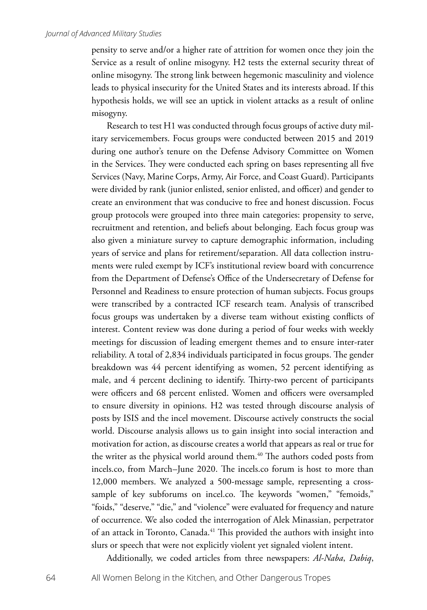pensity to serve and/or a higher rate of attrition for women once they join the Service as a result of online misogyny. H2 tests the external security threat of online misogyny. The strong link between hegemonic masculinity and violence leads to physical insecurity for the United States and its interests abroad. If this hypothesis holds, we will see an uptick in violent attacks as a result of online misogyny.

Research to test H1 was conducted through focus groups of active duty military servicemembers. Focus groups were conducted between 2015 and 2019 during one author's tenure on the Defense Advisory Committee on Women in the Services. They were conducted each spring on bases representing all five Services (Navy, Marine Corps, Army, Air Force, and Coast Guard). Participants were divided by rank (junior enlisted, senior enlisted, and officer) and gender to create an environment that was conducive to free and honest discussion. Focus group protocols were grouped into three main categories: propensity to serve, recruitment and retention, and beliefs about belonging. Each focus group was also given a miniature survey to capture demographic information, including years of service and plans for retirement/separation. All data collection instruments were ruled exempt by ICF's institutional review board with concurrence from the Department of Defense's Office of the Undersecretary of Defense for Personnel and Readiness to ensure protection of human subjects. Focus groups were transcribed by a contracted ICF research team. Analysis of transcribed focus groups was undertaken by a diverse team without existing conflicts of interest. Content review was done during a period of four weeks with weekly meetings for discussion of leading emergent themes and to ensure inter-rater reliability. A total of 2,834 individuals participated in focus groups. The gender breakdown was 44 percent identifying as women, 52 percent identifying as male, and 4 percent declining to identify. Thirty-two percent of participants were officers and 68 percent enlisted. Women and officers were oversampled to ensure diversity in opinions. H2 was tested through discourse analysis of posts by ISIS and the incel movement. Discourse actively constructs the social world. Discourse analysis allows us to gain insight into social interaction and motivation for action, as discourse creates a world that appears as real or true for the writer as the physical world around them.<sup>40</sup> The authors coded posts from incels.co, from March–June 2020. The incels.co forum is host to more than 12,000 members. We analyzed a 500-message sample, representing a crosssample of key subforums on incel.co. The keywords "women," "femoids," "foids," "deserve," "die," and "violence" were evaluated for frequency and nature of occurrence. We also coded the interrogation of Alek Minassian, perpetrator of an attack in Toronto, Canada.<sup>41</sup> This provided the authors with insight into slurs or speech that were not explicitly violent yet signaled violent intent.

Additionally, we coded articles from three newspapers: *Al-Naba*, *Dabiq*,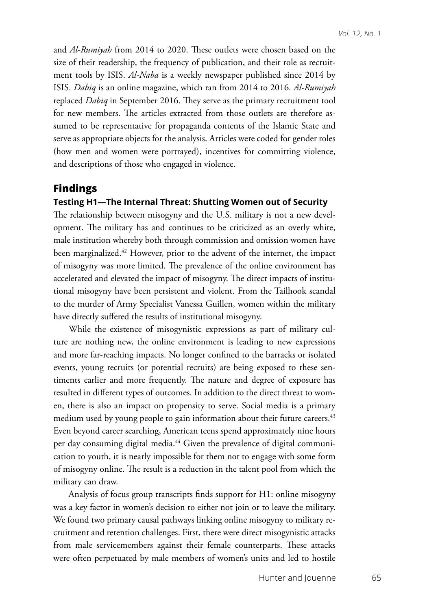and *Al-Rumiyah* from 2014 to 2020. These outlets were chosen based on the size of their readership, the frequency of publication, and their role as recruitment tools by ISIS. *Al-Naba* is a weekly newspaper published since 2014 by ISIS. *Dabiq* is an online magazine, which ran from 2014 to 2016. *Al-Rumiyah* replaced *Dabiq* in September 2016. They serve as the primary recruitment tool for new members. The articles extracted from those outlets are therefore assumed to be representative for propaganda contents of the Islamic State and serve as appropriate objects for the analysis. Articles were coded for gender roles (how men and women were portrayed), incentives for committing violence, and descriptions of those who engaged in violence.

## **Findings**

### **Testing H1—The Internal Threat: Shutting Women out of Security**

The relationship between misogyny and the U.S. military is not a new development. The military has and continues to be criticized as an overly white, male institution whereby both through commission and omission women have been marginalized.<sup>42</sup> However, prior to the advent of the internet, the impact of misogyny was more limited. The prevalence of the online environment has accelerated and elevated the impact of misogyny. The direct impacts of institutional misogyny have been persistent and violent. From the Tailhook scandal to the murder of Army Specialist Vanessa Guillen, women within the military have directly suffered the results of institutional misogyny.

While the existence of misogynistic expressions as part of military culture are nothing new, the online environment is leading to new expressions and more far-reaching impacts. No longer confined to the barracks or isolated events, young recruits (or potential recruits) are being exposed to these sentiments earlier and more frequently. The nature and degree of exposure has resulted in different types of outcomes. In addition to the direct threat to women, there is also an impact on propensity to serve. Social media is a primary medium used by young people to gain information about their future careers.<sup>43</sup> Even beyond career searching, American teens spend approximately nine hours per day consuming digital media.<sup>44</sup> Given the prevalence of digital communication to youth, it is nearly impossible for them not to engage with some form of misogyny online. The result is a reduction in the talent pool from which the military can draw.

Analysis of focus group transcripts finds support for H1: online misogyny was a key factor in women's decision to either not join or to leave the military. We found two primary causal pathways linking online misogyny to military recruitment and retention challenges. First, there were direct misogynistic attacks from male servicemembers against their female counterparts. These attacks were often perpetuated by male members of women's units and led to hostile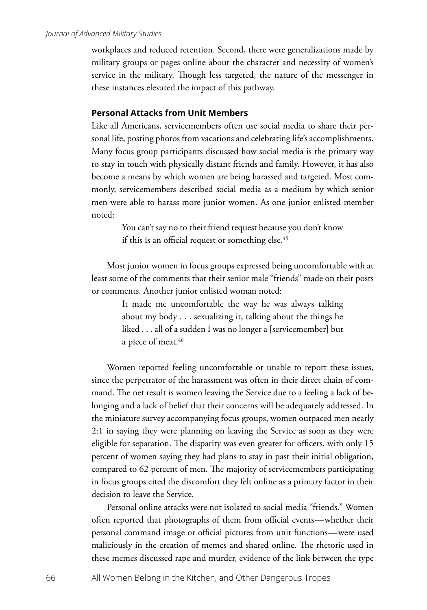workplaces and reduced retention. Second, there were generalizations made by military groups or pages online about the character and necessity of women's service in the military. Though less targeted, the nature of the messenger in these instances elevated the impact of this pathway.

### **Personal Attacks from Unit Members**

Like all Americans, servicemembers often use social media to share their personal life, posting photos from vacations and celebrating life's accomplishments. Many focus group participants discussed how social media is the primary way to stay in touch with physically distant friends and family. However, it has also become a means by which women are being harassed and targeted. Most commonly, servicemembers described social media as a medium by which senior men were able to harass more junior women. As one junior enlisted member noted:

> You can't say no to their friend request because you don't know if this is an official request or something else.<sup>45</sup>

Most junior women in focus groups expressed being uncomfortable with at least some of the comments that their senior male "friends" made on their posts or comments. Another junior enlisted woman noted:

> It made me uncomfortable the way he was always talking about my body . . . sexualizing it, talking about the things he liked . . . all of a sudden I was no longer a [servicemember] but a piece of meat.<sup>46</sup>

Women reported feeling uncomfortable or unable to report these issues, since the perpetrator of the harassment was often in their direct chain of command. The net result is women leaving the Service due to a feeling a lack of belonging and a lack of belief that their concerns will be adequately addressed. In the miniature survey accompanying focus groups, women outpaced men nearly 2:1 in saying they were planning on leaving the Service as soon as they were eligible for separation. The disparity was even greater for officers, with only 15 percent of women saying they had plans to stay in past their initial obligation, compared to 62 percent of men. The majority of servicemembers participating in focus groups cited the discomfort they felt online as a primary factor in their decision to leave the Service.

Personal online attacks were not isolated to social media "friends." Women often reported that photographs of them from official events—whether their personal command image or official pictures from unit functions—were used maliciously in the creation of memes and shared online. The rhetoric used in these memes discussed rape and murder, evidence of the link between the type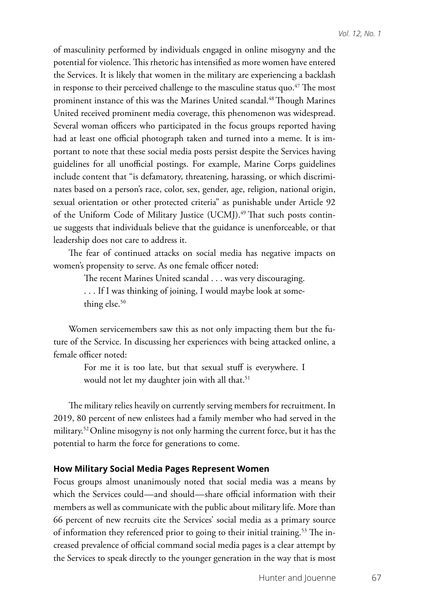of masculinity performed by individuals engaged in online misogyny and the potential for violence. This rhetoric has intensified as more women have entered the Services. It is likely that women in the military are experiencing a backlash in response to their perceived challenge to the masculine status quo. $47$  The most prominent instance of this was the Marines United scandal.<sup>48</sup> Though Marines United received prominent media coverage, this phenomenon was widespread. Several woman officers who participated in the focus groups reported having had at least one official photograph taken and turned into a meme. It is important to note that these social media posts persist despite the Services having guidelines for all unofficial postings. For example, Marine Corps guidelines include content that "is defamatory, threatening, harassing, or which discriminates based on a person's race, color, sex, gender, age, religion, national origin, sexual orientation or other protected criteria" as punishable under Article 92 of the Uniform Code of Military Justice (UCMJ).<sup>49</sup> That such posts continue suggests that individuals believe that the guidance is unenforceable, or that leadership does not care to address it.

The fear of continued attacks on social media has negative impacts on women's propensity to serve. As one female officer noted:

The recent Marines United scandal . . . was very discouraging.

. . . If I was thinking of joining, I would maybe look at something else.<sup>50</sup>

Women servicemembers saw this as not only impacting them but the future of the Service. In discussing her experiences with being attacked online, a female officer noted:

> For me it is too late, but that sexual stuff is everywhere. I would not let my daughter join with all that.<sup>51</sup>

The military relies heavily on currently serving members for recruitment. In 2019, 80 percent of new enlistees had a family member who had served in the military.<sup>52</sup> Online misogyny is not only harming the current force, but it has the potential to harm the force for generations to come.

### **How Military Social Media Pages Represent Women**

Focus groups almost unanimously noted that social media was a means by which the Services could—and should—share official information with their members as well as communicate with the public about military life. More than 66 percent of new recruits cite the Services' social media as a primary source of information they referenced prior to going to their initial training.<sup>53</sup> The increased prevalence of official command social media pages is a clear attempt by the Services to speak directly to the younger generation in the way that is most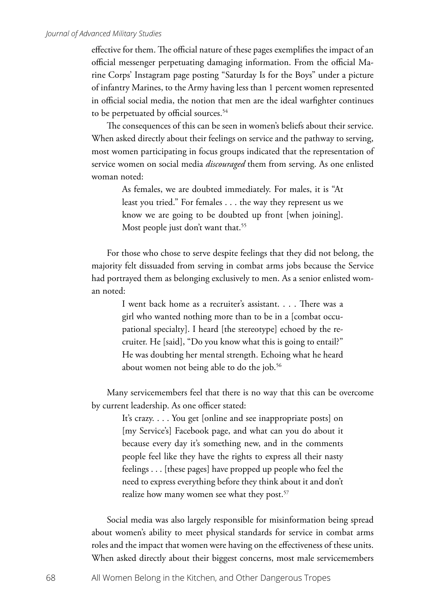#### *Journal of Advanced Military Studies*

effective for them. The official nature of these pages exemplifies the impact of an official messenger perpetuating damaging information. From the official Marine Corps' Instagram page posting "Saturday Is for the Boys" under a picture of infantry Marines, to the Army having less than 1 percent women represented in official social media, the notion that men are the ideal warfighter continues to be perpetuated by official sources.<sup>54</sup>

The consequences of this can be seen in women's beliefs about their service. When asked directly about their feelings on service and the pathway to serving, most women participating in focus groups indicated that the representation of service women on social media *discouraged* them from serving. As one enlisted woman noted:

> As females, we are doubted immediately. For males, it is "At least you tried." For females . . . the way they represent us we know we are going to be doubted up front [when joining]. Most people just don't want that.<sup>55</sup>

For those who chose to serve despite feelings that they did not belong, the majority felt dissuaded from serving in combat arms jobs because the Service had portrayed them as belonging exclusively to men. As a senior enlisted woman noted:

> I went back home as a recruiter's assistant. . . . There was a girl who wanted nothing more than to be in a [combat occupational specialty]. I heard [the stereotype] echoed by the recruiter. He [said], "Do you know what this is going to entail?" He was doubting her mental strength. Echoing what he heard about women not being able to do the job.<sup>56</sup>

Many servicemembers feel that there is no way that this can be overcome by current leadership. As one officer stated:

> It's crazy. . . . You get [online and see inappropriate posts] on [my Service's] Facebook page, and what can you do about it because every day it's something new, and in the comments people feel like they have the rights to express all their nasty feelings . . . [these pages] have propped up people who feel the need to express everything before they think about it and don't realize how many women see what they post.<sup>57</sup>

Social media was also largely responsible for misinformation being spread about women's ability to meet physical standards for service in combat arms roles and the impact that women were having on the effectiveness of these units. When asked directly about their biggest concerns, most male servicemembers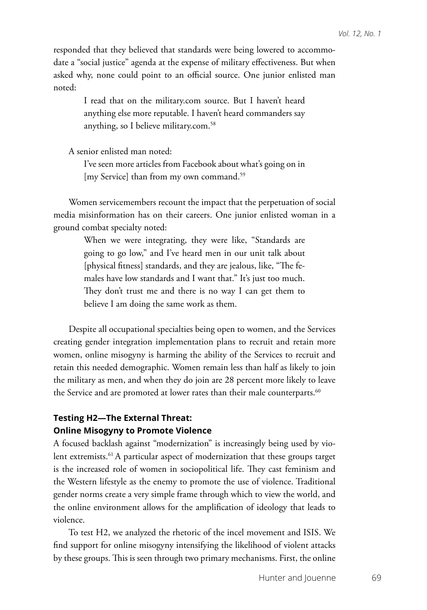responded that they believed that standards were being lowered to accommodate a "social justice" agenda at the expense of military effectiveness. But when asked why, none could point to an official source. One junior enlisted man noted:

> I read that on the military.com source. But I haven't heard anything else more reputable. I haven't heard commanders say anything, so I believe military.com.58

A senior enlisted man noted:

I've seen more articles from Facebook about what's going on in [my Service] than from my own command.<sup>59</sup>

Women servicemembers recount the impact that the perpetuation of social media misinformation has on their careers. One junior enlisted woman in a ground combat specialty noted:

> When we were integrating, they were like, "Standards are going to go low," and I've heard men in our unit talk about [physical fitness] standards, and they are jealous, like, "The females have low standards and I want that." It's just too much. They don't trust me and there is no way I can get them to believe I am doing the same work as them.

Despite all occupational specialties being open to women, and the Services creating gender integration implementation plans to recruit and retain more women, online misogyny is harming the ability of the Services to recruit and retain this needed demographic. Women remain less than half as likely to join the military as men, and when they do join are 28 percent more likely to leave the Service and are promoted at lower rates than their male counterparts.<sup>60</sup>

## **Testing H2—The External Threat: Online Misogyny to Promote Violence**

A focused backlash against "modernization" is increasingly being used by violent extremists.<sup>61</sup> A particular aspect of modernization that these groups target is the increased role of women in sociopolitical life. They cast feminism and the Western lifestyle as the enemy to promote the use of violence. Traditional gender norms create a very simple frame through which to view the world, and the online environment allows for the amplification of ideology that leads to violence.

To test H2, we analyzed the rhetoric of the incel movement and ISIS. We find support for online misogyny intensifying the likelihood of violent attacks by these groups. This is seen through two primary mechanisms. First, the online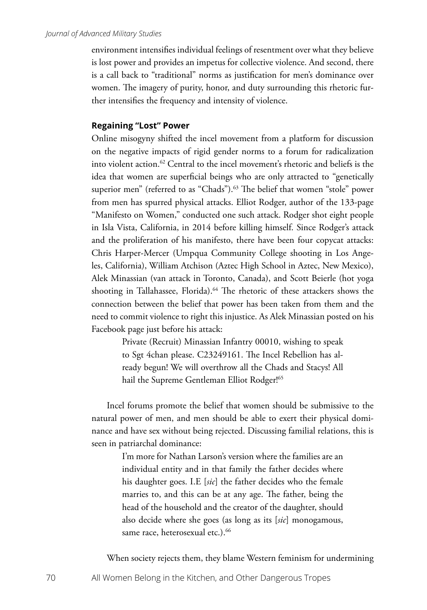environment intensifies individual feelings of resentment over what they believe is lost power and provides an impetus for collective violence. And second, there is a call back to "traditional" norms as justification for men's dominance over women. The imagery of purity, honor, and duty surrounding this rhetoric further intensifies the frequency and intensity of violence.

### **Regaining "Lost" Power**

Online misogyny shifted the incel movement from a platform for discussion on the negative impacts of rigid gender norms to a forum for radicalization into violent action.62 Central to the incel movement's rhetoric and beliefs is the idea that women are superficial beings who are only attracted to "genetically superior men" (referred to as "Chads").<sup>63</sup> The belief that women "stole" power from men has spurred physical attacks. Elliot Rodger, author of the 133-page "Manifesto on Women," conducted one such attack. Rodger shot eight people in Isla Vista, California, in 2014 before killing himself. Since Rodger's attack and the proliferation of his manifesto, there have been four copycat attacks: Chris Harper-Mercer (Umpqua Community College shooting in Los Angeles, California), William Atchison (Aztec High School in Aztec, New Mexico), Alek Minassian (van attack in Toronto, Canada), and Scott Beierle (hot yoga shooting in Tallahassee, Florida).<sup>64</sup> The rhetoric of these attackers shows the connection between the belief that power has been taken from them and the need to commit violence to right this injustice. As Alek Minassian posted on his Facebook page just before his attack:

> Private (Recruit) Minassian Infantry 00010, wishing to speak to Sgt 4chan please. C23249161. The Incel Rebellion has already begun! We will overthrow all the Chads and Stacys! All hail the Supreme Gentleman Elliot Rodger!<sup>65</sup>

Incel forums promote the belief that women should be submissive to the natural power of men, and men should be able to exert their physical dominance and have sex without being rejected. Discussing familial relations, this is seen in patriarchal dominance:

> I'm more for Nathan Larson's version where the families are an individual entity and in that family the father decides where his daughter goes. I.E [*sic*] the father decides who the female marries to, and this can be at any age. The father, being the head of the household and the creator of the daughter, should also decide where she goes (as long as its [*sic*] monogamous, same race, heterosexual etc.).<sup>66</sup>

When society rejects them, they blame Western feminism for undermining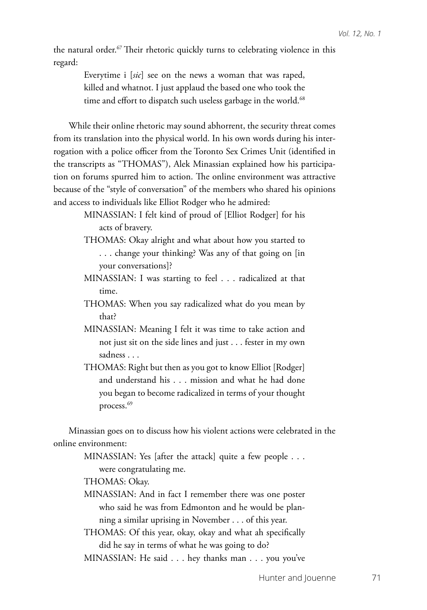the natural order.<sup>67</sup> Their rhetoric quickly turns to celebrating violence in this regard:

> Everytime i [*sic*] see on the news a woman that was raped, killed and whatnot. I just applaud the based one who took the time and effort to dispatch such useless garbage in the world.<sup>68</sup>

While their online rhetoric may sound abhorrent, the security threat comes from its translation into the physical world. In his own words during his interrogation with a police officer from the Toronto Sex Crimes Unit (identified in the transcripts as "THOMAS"), Alek Minassian explained how his participation on forums spurred him to action. The online environment was attractive because of the "style of conversation" of the members who shared his opinions and access to individuals like Elliot Rodger who he admired:

- MINASSIAN: I felt kind of proud of [Elliot Rodger] for his acts of bravery.
- THOMAS: Okay alright and what about how you started to . . . change your thinking? Was any of that going on [in your conversations]?
- MINASSIAN: I was starting to feel . . . radicalized at that time.
- THOMAS: When you say radicalized what do you mean by that?
- MINASSIAN: Meaning I felt it was time to take action and not just sit on the side lines and just . . . fester in my own sadness . . .
- THOMAS: Right but then as you got to know Elliot [Rodger] and understand his . . . mission and what he had done you began to become radicalized in terms of your thought process.69

Minassian goes on to discuss how his violent actions were celebrated in the online environment:

> MINASSIAN: Yes [after the attack] quite a few people . . . were congratulating me.

THOMAS: Okay.

MINASSIAN: And in fact I remember there was one poster who said he was from Edmonton and he would be planning a similar uprising in November . . . of this year.

THOMAS: Of this year, okay, okay and what ah specifically did he say in terms of what he was going to do?

MINASSIAN: He said . . . hey thanks man . . . you you've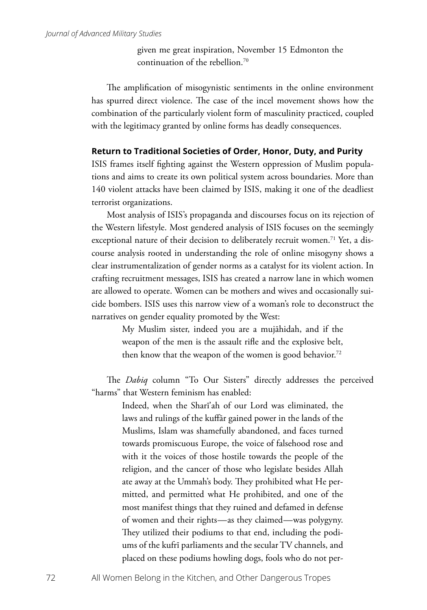given me great inspiration, November 15 Edmonton the continuation of the rebellion.70

The amplification of misogynistic sentiments in the online environment has spurred direct violence. The case of the incel movement shows how the combination of the particularly violent form of masculinity practiced, coupled with the legitimacy granted by online forms has deadly consequences.

### **Return to Traditional Societies of Order, Honor, Duty, and Purity**

ISIS frames itself fighting against the Western oppression of Muslim populations and aims to create its own political system across boundaries. More than 140 violent attacks have been claimed by ISIS, making it one of the deadliest terrorist organizations.

Most analysis of ISIS's propaganda and discourses focus on its rejection of the Western lifestyle. Most gendered analysis of ISIS focuses on the seemingly exceptional nature of their decision to deliberately recruit women.<sup>71</sup> Yet, a discourse analysis rooted in understanding the role of online misogyny shows a clear instrumentalization of gender norms as a catalyst for its violent action. In crafting recruitment messages, ISIS has created a narrow lane in which women are allowed to operate. Women can be mothers and wives and occasionally suicide bombers. ISIS uses this narrow view of a woman's role to deconstruct the narratives on gender equality promoted by the West:

> My Muslim sister, indeed you are a mujāhidah, and if the weapon of the men is the assault rifle and the explosive belt, then know that the weapon of the women is good behavior.<sup>72</sup>

The *Dabiq* column "To Our Sisters" directly addresses the perceived "harms" that Western feminism has enabled:

> Indeed, when the Sharī'ah of our Lord was eliminated, the laws and rulings of the kuffār gained power in the lands of the Muslims, Islam was shamefully abandoned, and faces turned towards promiscuous Europe, the voice of falsehood rose and with it the voices of those hostile towards the people of the religion, and the cancer of those who legislate besides Allah ate away at the Ummah's body. They prohibited what He permitted, and permitted what He prohibited, and one of the most manifest things that they ruined and defamed in defense of women and their rights—as they claimed—was polygyny. They utilized their podiums to that end, including the podiums of the kufrī parliaments and the secular TV channels, and placed on these podiums howling dogs, fools who do not per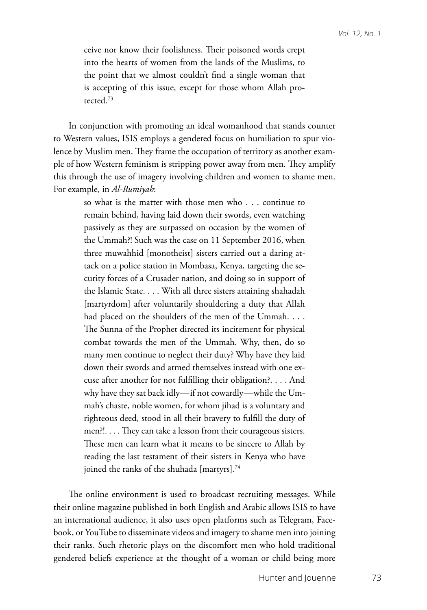ceive nor know their foolishness. Their poisoned words crept into the hearts of women from the lands of the Muslims, to the point that we almost couldn't find a single woman that is accepting of this issue, except for those whom Allah protected.73

In conjunction with promoting an ideal womanhood that stands counter to Western values, ISIS employs a gendered focus on humiliation to spur violence by Muslim men. They frame the occupation of territory as another example of how Western feminism is stripping power away from men. They amplify this through the use of imagery involving children and women to shame men. For example, in *Al-Rumiyah*:

> so what is the matter with those men who . . . continue to remain behind, having laid down their swords, even watching passively as they are surpassed on occasion by the women of the Ummah?! Such was the case on 11 September 2016, when three muwahhid [monotheist] sisters carried out a daring attack on a police station in Mombasa, Kenya, targeting the security forces of a Crusader nation, and doing so in support of the Islamic State. . . . With all three sisters attaining shahadah [martyrdom] after voluntarily shouldering a duty that Allah had placed on the shoulders of the men of the Ummah. . . . The Sunna of the Prophet directed its incitement for physical combat towards the men of the Ummah. Why, then, do so many men continue to neglect their duty? Why have they laid down their swords and armed themselves instead with one excuse after another for not fulfilling their obligation?. . . . And why have they sat back idly—if not cowardly—while the Ummah's chaste, noble women, for whom jihad is a voluntary and righteous deed, stood in all their bravery to fulfill the duty of men?!. . . . They can take a lesson from their courageous sisters. These men can learn what it means to be sincere to Allah by reading the last testament of their sisters in Kenya who have joined the ranks of the shuhada [martyrs].<sup>74</sup>

The online environment is used to broadcast recruiting messages. While their online magazine published in both English and Arabic allows ISIS to have an international audience, it also uses open platforms such as Telegram, Facebook, or YouTube to disseminate videos and imagery to shame men into joining their ranks. Such rhetoric plays on the discomfort men who hold traditional gendered beliefs experience at the thought of a woman or child being more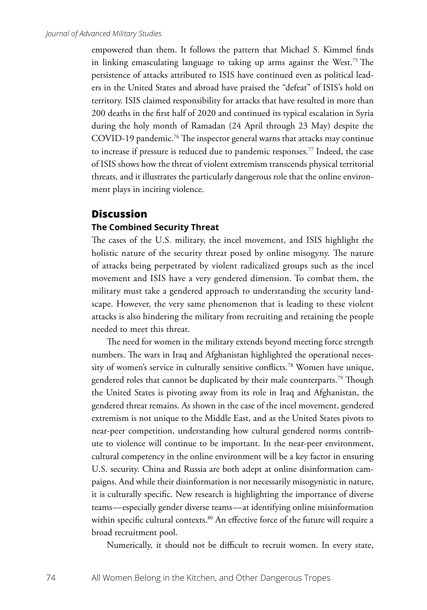empowered than them. It follows the pattern that Michael S. Kimmel finds in linking emasculating language to taking up arms against the West.75 The persistence of attacks attributed to ISIS have continued even as political leaders in the United States and abroad have praised the "defeat" of ISIS's hold on territory. ISIS claimed responsibility for attacks that have resulted in more than 200 deaths in the first half of 2020 and continued its typical escalation in Syria during the holy month of Ramadan (24 April through 23 May) despite the COVID-19 pandemic.76 The inspector general warns that attacks may continue to increase if pressure is reduced due to pandemic responses.77 Indeed, the case of ISIS shows how the threat of violent extremism transcends physical territorial threats, and it illustrates the particularly dangerous role that the online environment plays in inciting violence.

## **Discussion**

### **The Combined Security Threat**

The cases of the U.S. military, the incel movement, and ISIS highlight the holistic nature of the security threat posed by online misogyny. The nature of attacks being perpetrated by violent radicalized groups such as the incel movement and ISIS have a very gendered dimension. To combat them, the military must take a gendered approach to understanding the security landscape. However, the very same phenomenon that is leading to these violent attacks is also hindering the military from recruiting and retaining the people needed to meet this threat.

The need for women in the military extends beyond meeting force strength numbers. The wars in Iraq and Afghanistan highlighted the operational necessity of women's service in culturally sensitive conflicts.78 Women have unique, gendered roles that cannot be duplicated by their male counterparts.79 Though the United States is pivoting away from its role in Iraq and Afghanistan, the gendered threat remains. As shown in the case of the incel movement, gendered extremism is not unique to the Middle East, and as the United States pivots to near-peer competition, understanding how cultural gendered norms contribute to violence will continue to be important. In the near-peer environment, cultural competency in the online environment will be a key factor in ensuring U.S. security. China and Russia are both adept at online disinformation campaigns. And while their disinformation is not necessarily misogynistic in nature, it is culturally specific. New research is highlighting the importance of diverse teams—especially gender diverse teams—at identifying online misinformation within specific cultural contexts.<sup>80</sup> An effective force of the future will require a broad recruitment pool.

Numerically, it should not be difficult to recruit women. In every state,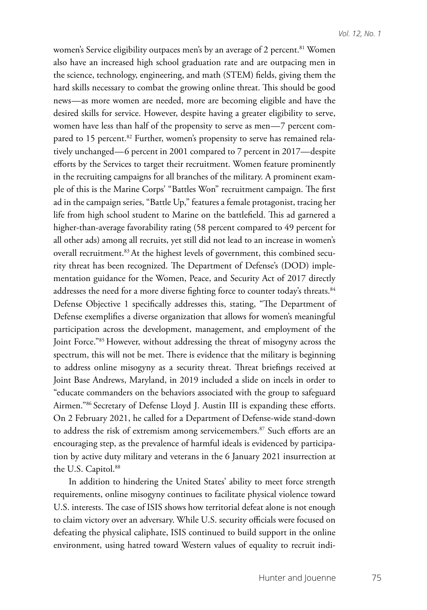women's Service eligibility outpaces men's by an average of 2 percent.<sup>81</sup> Women also have an increased high school graduation rate and are outpacing men in the science, technology, engineering, and math (STEM) fields, giving them the hard skills necessary to combat the growing online threat. This should be good news—as more women are needed, more are becoming eligible and have the desired skills for service. However, despite having a greater eligibility to serve, women have less than half of the propensity to serve as men—7 percent compared to 15 percent.<sup>82</sup> Further, women's propensity to serve has remained relatively unchanged—6 percent in 2001 compared to 7 percent in 2017—despite efforts by the Services to target their recruitment. Women feature prominently in the recruiting campaigns for all branches of the military. A prominent example of this is the Marine Corps' "Battles Won" recruitment campaign. The first ad in the campaign series, "Battle Up," features a female protagonist, tracing her life from high school student to Marine on the battlefield. This ad garnered a higher-than-average favorability rating (58 percent compared to 49 percent for all other ads) among all recruits, yet still did not lead to an increase in women's overall recruitment.<sup>83</sup> At the highest levels of government, this combined security threat has been recognized. The Department of Defense's (DOD) implementation guidance for the Women, Peace, and Security Act of 2017 directly addresses the need for a more diverse fighting force to counter today's threats.<sup>84</sup> Defense Objective 1 specifically addresses this, stating, "The Department of Defense exemplifies a diverse organization that allows for women's meaningful participation across the development, management, and employment of the Joint Force."85 However, without addressing the threat of misogyny across the spectrum, this will not be met. There is evidence that the military is beginning to address online misogyny as a security threat. Threat briefings received at Joint Base Andrews, Maryland, in 2019 included a slide on incels in order to "educate commanders on the behaviors associated with the group to safeguard Airmen."86 Secretary of Defense Lloyd J. Austin III is expanding these efforts. On 2 February 2021, he called for a Department of Defense-wide stand-down to address the risk of extremism among servicemembers.<sup>87</sup> Such efforts are an encouraging step, as the prevalence of harmful ideals is evidenced by participation by active duty military and veterans in the 6 January 2021 insurrection at the U.S. Capitol.<sup>88</sup>

In addition to hindering the United States' ability to meet force strength requirements, online misogyny continues to facilitate physical violence toward U.S. interests. The case of ISIS shows how territorial defeat alone is not enough to claim victory over an adversary. While U.S. security officials were focused on defeating the physical caliphate, ISIS continued to build support in the online environment, using hatred toward Western values of equality to recruit indi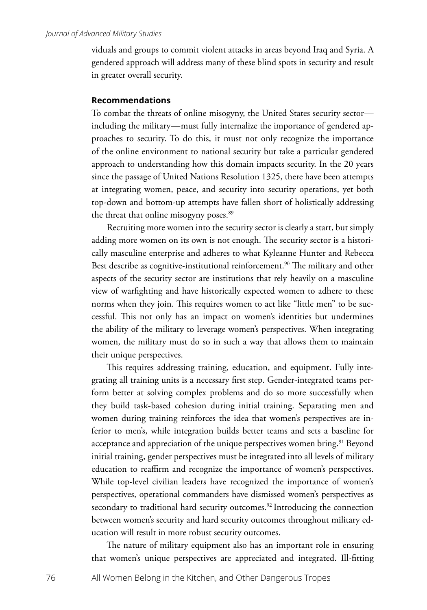viduals and groups to commit violent attacks in areas beyond Iraq and Syria. A gendered approach will address many of these blind spots in security and result in greater overall security.

## **Recommendations**

To combat the threats of online misogyny, the United States security sector including the military—must fully internalize the importance of gendered approaches to security. To do this, it must not only recognize the importance of the online environment to national security but take a particular gendered approach to understanding how this domain impacts security. In the 20 years since the passage of United Nations Resolution 1325, there have been attempts at integrating women, peace, and security into security operations, yet both top-down and bottom-up attempts have fallen short of holistically addressing the threat that online misogyny poses.<sup>89</sup>

Recruiting more women into the security sector is clearly a start, but simply adding more women on its own is not enough. The security sector is a historically masculine enterprise and adheres to what Kyleanne Hunter and Rebecca Best describe as cognitive-institutional reinforcement.<sup>90</sup> The military and other aspects of the security sector are institutions that rely heavily on a masculine view of warfighting and have historically expected women to adhere to these norms when they join. This requires women to act like "little men" to be successful. This not only has an impact on women's identities but undermines the ability of the military to leverage women's perspectives. When integrating women, the military must do so in such a way that allows them to maintain their unique perspectives.

This requires addressing training, education, and equipment. Fully integrating all training units is a necessary first step. Gender-integrated teams perform better at solving complex problems and do so more successfully when they build task-based cohesion during initial training. Separating men and women during training reinforces the idea that women's perspectives are inferior to men's, while integration builds better teams and sets a baseline for acceptance and appreciation of the unique perspectives women bring.<sup>91</sup> Beyond initial training, gender perspectives must be integrated into all levels of military education to reaffirm and recognize the importance of women's perspectives. While top-level civilian leaders have recognized the importance of women's perspectives, operational commanders have dismissed women's perspectives as secondary to traditional hard security outcomes.<sup>92</sup> Introducing the connection between women's security and hard security outcomes throughout military education will result in more robust security outcomes.

The nature of military equipment also has an important role in ensuring that women's unique perspectives are appreciated and integrated. Ill-fitting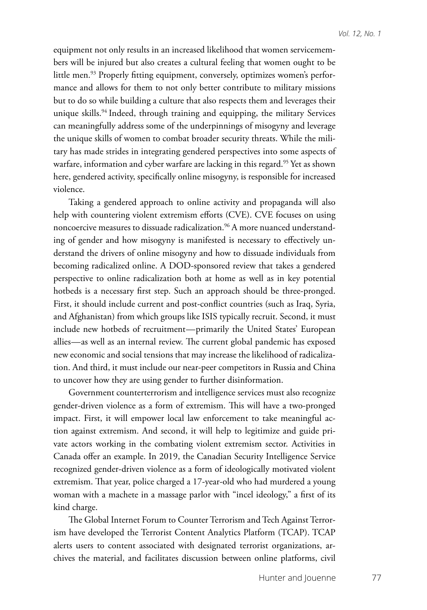equipment not only results in an increased likelihood that women servicemembers will be injured but also creates a cultural feeling that women ought to be little men.<sup>93</sup> Properly fitting equipment, conversely, optimizes women's performance and allows for them to not only better contribute to military missions but to do so while building a culture that also respects them and leverages their unique skills.<sup>94</sup> Indeed, through training and equipping, the military Services can meaningfully address some of the underpinnings of misogyny and leverage the unique skills of women to combat broader security threats. While the military has made strides in integrating gendered perspectives into some aspects of warfare, information and cyber warfare are lacking in this regard.<sup>95</sup> Yet as shown here, gendered activity, specifically online misogyny, is responsible for increased violence.

Taking a gendered approach to online activity and propaganda will also help with countering violent extremism efforts (CVE). CVE focuses on using noncoercive measures to dissuade radicalization.<sup>96</sup> A more nuanced understanding of gender and how misogyny is manifested is necessary to effectively understand the drivers of online misogyny and how to dissuade individuals from becoming radicalized online. A DOD-sponsored review that takes a gendered perspective to online radicalization both at home as well as in key potential hotbeds is a necessary first step. Such an approach should be three-pronged. First, it should include current and post-conflict countries (such as Iraq, Syria, and Afghanistan) from which groups like ISIS typically recruit. Second, it must include new hotbeds of recruitment—primarily the United States' European allies—as well as an internal review. The current global pandemic has exposed new economic and social tensions that may increase the likelihood of radicalization. And third, it must include our near-peer competitors in Russia and China to uncover how they are using gender to further disinformation.

Government counterterrorism and intelligence services must also recognize gender-driven violence as a form of extremism. This will have a two-pronged impact. First, it will empower local law enforcement to take meaningful action against extremism. And second, it will help to legitimize and guide private actors working in the combating violent extremism sector. Activities in Canada offer an example. In 2019, the Canadian Security Intelligence Service recognized gender-driven violence as a form of ideologically motivated violent extremism. That year, police charged a 17-year-old who had murdered a young woman with a machete in a massage parlor with "incel ideology," a first of its kind charge.

The Global Internet Forum to Counter Terrorism and Tech Against Terrorism have developed the Terrorist Content Analytics Platform (TCAP). TCAP alerts users to content associated with designated terrorist organizations, archives the material, and facilitates discussion between online platforms, civil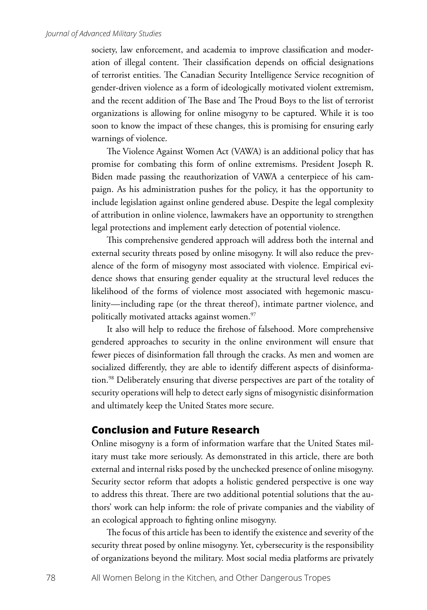society, law enforcement, and academia to improve classification and moderation of illegal content. Their classification depends on official designations of terrorist entities. The Canadian Security Intelligence Service recognition of gender-driven violence as a form of ideologically motivated violent extremism, and the recent addition of The Base and The Proud Boys to the list of terrorist organizations is allowing for online misogyny to be captured. While it is too soon to know the impact of these changes, this is promising for ensuring early warnings of violence.

The Violence Against Women Act (VAWA) is an additional policy that has promise for combating this form of online extremisms. President Joseph R. Biden made passing the reauthorization of VAWA a centerpiece of his campaign. As his administration pushes for the policy, it has the opportunity to include legislation against online gendered abuse. Despite the legal complexity of attribution in online violence, lawmakers have an opportunity to strengthen legal protections and implement early detection of potential violence.

This comprehensive gendered approach will address both the internal and external security threats posed by online misogyny. It will also reduce the prevalence of the form of misogyny most associated with violence. Empirical evidence shows that ensuring gender equality at the structural level reduces the likelihood of the forms of violence most associated with hegemonic masculinity—including rape (or the threat thereof), intimate partner violence, and politically motivated attacks against women.<sup>97</sup>

It also will help to reduce the firehose of falsehood. More comprehensive gendered approaches to security in the online environment will ensure that fewer pieces of disinformation fall through the cracks. As men and women are socialized differently, they are able to identify different aspects of disinformation.98 Deliberately ensuring that diverse perspectives are part of the totality of security operations will help to detect early signs of misogynistic disinformation and ultimately keep the United States more secure.

## **Conclusion and Future Research**

Online misogyny is a form of information warfare that the United States military must take more seriously. As demonstrated in this article, there are both external and internal risks posed by the unchecked presence of online misogyny. Security sector reform that adopts a holistic gendered perspective is one way to address this threat. There are two additional potential solutions that the authors' work can help inform: the role of private companies and the viability of an ecological approach to fighting online misogyny.

The focus of this article has been to identify the existence and severity of the security threat posed by online misogyny. Yet, cybersecurity is the responsibility of organizations beyond the military. Most social media platforms are privately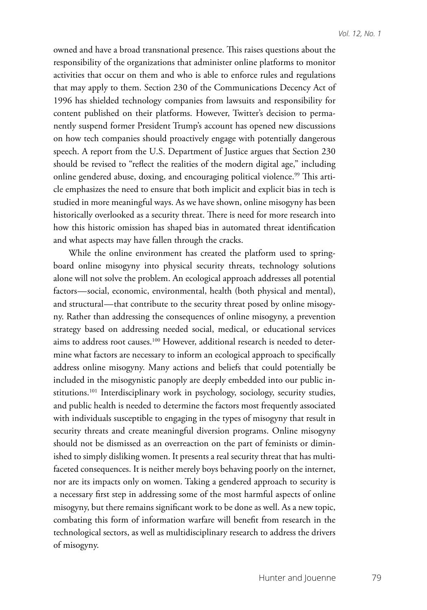owned and have a broad transnational presence. This raises questions about the responsibility of the organizations that administer online platforms to monitor activities that occur on them and who is able to enforce rules and regulations that may apply to them. Section 230 of the Communications Decency Act of 1996 has shielded technology companies from lawsuits and responsibility for content published on their platforms. However, Twitter's decision to permanently suspend former President Trump's account has opened new discussions on how tech companies should proactively engage with potentially dangerous speech. A report from the U.S. Department of Justice argues that Section 230 should be revised to "reflect the realities of the modern digital age," including online gendered abuse, doxing, and encouraging political violence.<sup>99</sup> This article emphasizes the need to ensure that both implicit and explicit bias in tech is studied in more meaningful ways. As we have shown, online misogyny has been historically overlooked as a security threat. There is need for more research into how this historic omission has shaped bias in automated threat identification and what aspects may have fallen through the cracks.

While the online environment has created the platform used to springboard online misogyny into physical security threats, technology solutions alone will not solve the problem. An ecological approach addresses all potential factors—social, economic, environmental, health (both physical and mental), and structural—that contribute to the security threat posed by online misogyny. Rather than addressing the consequences of online misogyny, a prevention strategy based on addressing needed social, medical, or educational services aims to address root causes.100 However, additional research is needed to determine what factors are necessary to inform an ecological approach to specifically address online misogyny. Many actions and beliefs that could potentially be included in the misogynistic panoply are deeply embedded into our public institutions.<sup>101</sup> Interdisciplinary work in psychology, sociology, security studies, and public health is needed to determine the factors most frequently associated with individuals susceptible to engaging in the types of misogyny that result in security threats and create meaningful diversion programs. Online misogyny should not be dismissed as an overreaction on the part of feminists or diminished to simply disliking women. It presents a real security threat that has multifaceted consequences. It is neither merely boys behaving poorly on the internet, nor are its impacts only on women. Taking a gendered approach to security is a necessary first step in addressing some of the most harmful aspects of online misogyny, but there remains significant work to be done as well. As a new topic, combating this form of information warfare will benefit from research in the technological sectors, as well as multidisciplinary research to address the drivers of misogyny.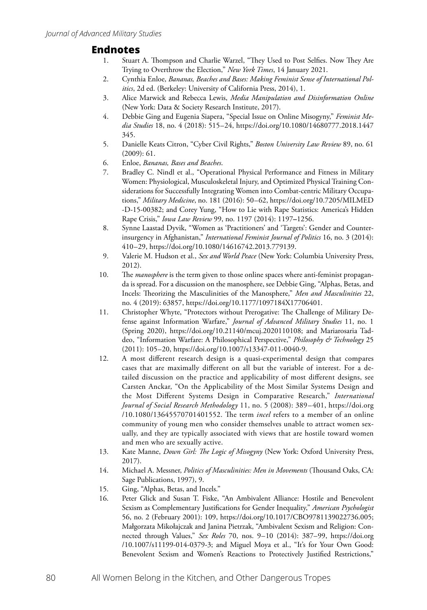## **Endnotes**

- 1. Stuart A. Thompson and Charlie Warzel, "They Used to Post Selfies. Now They Are Trying to Overthrow the Election," *New York Times*, 14 January 2021.
- 2. Cynthia Enloe, *Bananas, Beaches and Bases: Making Feminist Sense of International Politics*, 2d ed. (Berkeley: University of California Press, 2014), 1.
- 3. Alice Marwick and Rebecca Lewis, *Media Manipulation and Disinformation Online* (New York: Data & Society Research Institute, 2017).
- 4. Debbie Ging and Eugenia Siapera, "Special Issue on Online Misogyny," *Feminist Media Studies* 18, no. 4 (2018): 515–24, https://doi.org/10.1080/14680777.2018.1447 345.
- 5. Danielle Keats Citron, "Cyber Civil Rights," *Boston University Law Review* 89, no. 61 (2009): 61.
- 6. Enloe, *Bananas, Bases and Beaches*.
- 7. Bradley C. Nindl et al., "Operational Physical Performance and Fitness in Military Women: Physiological, Musculoskeletal Injury, and Optimized Physical Training Considerations for Successfully Integrating Women into Combat-centric Military Occupations," *Military Medicine*, no. 181 (2016): 50–62, https://doi.org/10.7205/MILMED -D-15-00382; and Corey Yung, "How to Lie with Rape Statistics: America's Hidden Rape Crisis," *Iowa Law Review* 99, no. 1197 (2014): 1197**–**1256.
- 8. Synne Laastad Dyvik, "Women as 'Practitioners' and 'Targets': Gender and Counterinsurgency in Afghanistan," *International Feminist Journal of Politics* 16, no. 3 (2014): 410–29, https://doi.org/10.1080/14616742.2013.779139.
- 9. Valerie M. Hudson et al., *Sex and World Peace* (New York: Columbia University Press, 2012).
- 10. The *manosphere* is the term given to those online spaces where anti-feminist propaganda is spread. For a discussion on the manosphere, see Debbie Ging, "Alphas, Betas, and Incels: Theorizing the Masculinities of the Manosphere," *Men and Masculinities* 22, no. 4 (2019): 63857, https://doi.org/10.1177/1097184X17706401.
- 11. Christopher Whyte, "Protectors without Prerogative: The Challenge of Military Defense against Information Warfare," *Journal of Advanced Military Studies* 11, no. 1 (Spring 2020), https://doi.org/10.21140/mcuj.2020110108; and Mariarosaria Taddeo, "Information Warfare: A Philosophical Perspective," *Philosophy & Technology* 25 (2011): 105–20, https://doi.org/10.1007/s13347-011-0040-9.
- 12. A most different research design is a quasi-experimental design that compares cases that are maximally different on all but the variable of interest. For a detailed discussion on the practice and applicability of most different designs, see Carsten Anckar, "On the Applicability of the Most Similar Systems Design and the Most Different Systems Design in Comparative Research," *International Journal of Social Research Methodology* 11, no. 5 (2008): 389–401, https://doi.org /10.1080/13645570701401552. The term *incel* refers to a member of an online community of young men who consider themselves unable to attract women sexually, and they are typically associated with views that are hostile toward women and men who are sexually active.
- 13. Kate Manne, *Down Girl: The Logic of Misogyny* (New York: Oxford University Press, 2017).
- 14. Michael A. Messner, *Politics of Masculinities: Men in Movements* (Thousand Oaks, CA: Sage Publications, 1997), 9.
- 15. Ging, "Alphas, Betas, and Incels."
- 16. Peter Glick and Susan T. Fiske, "An Ambivalent Alliance: Hostile and Benevolent Sexism as Complementary Justifications for Gender Inequality," *American Psychologist* 56, no. 2 (February 2001): 109, https://doi.org/10.1017/CBO9781139022736.005; Małgorzata Mikołajczak and Janina Pietrzak, "Ambivalent Sexism and Religion: Connected through Values," *Sex Roles* 70, nos. 9–10 (2014): 387–99, https://doi.org /10.1007/s11199-014-0379-3; and Miguel Moya et al., "It's for Your Own Good: Benevolent Sexism and Women's Reactions to Protectively Justified Restrictions,"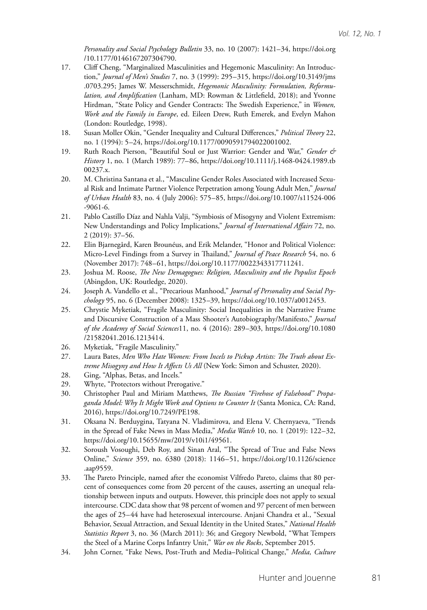*Personality and Social Psychology Bulletin* 33, no. 10 (2007): 1421–34, https://doi.org /10.1177/0146167207304790.

- 17. Cliff Cheng, "Marginalized Masculinities and Hegemonic Masculinity: An Introduction," *Journal of Men's Studies* 7, no. 3 (1999): 295–315, https://doi.org/10.3149/jms .0703.295; James W. Messerschmidt, *Hegemonic Masculinity: Formulation, Reformulation, and Amplification* (Lanham, MD: Rowman & Littlefield, 2018); and Yvonne Hirdman, "State Policy and Gender Contracts: The Swedish Experience," in *Women, Work and the Family in Europe*, ed. Eileen Drew, Ruth Emerek, and Evelyn Mahon (London: Routledge, 1998).
- 18. Susan Moller Okin, "Gender Inequality and Cultural Differences," *Political Theory* 22, no. 1 (1994): 5–24, https://doi.org/10.1177/0090591794022001002.
- 19. Ruth Roach Pierson, "Beautiful Soul or Just Warrior: Gender and War," *Gender & History* 1, no. 1 (March 1989): 77–86, https://doi.org/10.1111/j.1468-0424.1989.tb 00237.x.
- 20. M. Christina Santana et al., "Masculine Gender Roles Associated with Increased Sexual Risk and Intimate Partner Violence Perpetration among Young Adult Men," *Journal of Urban Health* 83, no. 4 (July 2006): 575–85, https://doi.org/10.1007/s11524-006 -9061-6.
- 21. Pablo Castillo Díaz and Nahla Valji, "Symbiosis of Misogyny and Violent Extremism: New Understandings and Policy Implications," *Journal of International Affairs* 72, no. 2 (2019): 37–56.
- 22. Elin Bjarnegård, Karen Brounéus, and Erik Melander, "Honor and Political Violence: Micro-Level Findings from a Survey in Thailand," *Journal of Peace Research* 54, no. 6 (November 2017): 748–61, https://doi.org/10.1177/0022343317711241.
- 23. Joshua M. Roose, *The New Demagogues: Religion, Masculinity and the Populist Epoch* (Abingdon, UK: Routledge, 2020).
- 24. Joseph A. Vandello et al., "Precarious Manhood," *Journal of Personality and Social Psychology* 95, no. 6 (December 2008): 1325–39, https://doi.org/10.1037/a0012453.
- 25. Chrystie Myketiak, "Fragile Masculinity: Social Inequalities in the Narrative Frame and Discursive Construction of a Mass Shooter's Autobiography/Manifesto," *Journal of the Academy of Social Sciences*11, no. 4 (2016): 289–303, https://doi.org/10.1080 /21582041.2016.1213414.
- 26. Myketiak, "Fragile Masculinity."
- 27. Laura Bates, *Men Who Hate Women: From Incels to Pickup Artists: The Truth about Extreme Misogyny and How It Affects Us All* (New York: Simon and Schuster, 2020).
- 28. Ging, "Alphas, Betas, and Incels."
- 29. Whyte, "Protectors without Prerogative."
- 30. Christopher Paul and Miriam Matthews, *The Russian "Firehose of Falsehood" Propaganda Model: Why It Might Work and Options to Counter It* (Santa Monica, CA: Rand, 2016), https://doi.org/10.7249/PE198.
- 31. Oksana N. Berduygina, Tatyana N. Vladimirova, and Elena V. Chernyaeva, "Trends in the Spread of Fake News in Mass Media," *Media Watch* 10, no. 1 (2019): 122–32, https://doi.org/10.15655/mw/2019/v10i1/49561.
- 32. Soroush Vosoughi, Deb Roy, and Sinan Aral, "The Spread of True and False News Online," *Science* 359, no. 6380 (2018): 1146–51, https://doi.org/10.1126/science .aap9559.
- 33. The Pareto Principle, named after the economist Vilfredo Pareto, claims that 80 percent of consequences come from 20 percent of the causes, asserting an unequal relationship between inputs and outputs. However, this principle does not apply to sexual intercourse. CDC data show that 98 percent of women and 97 percent of men between the ages of 25–44 have had heterosexual intercourse. Anjani Chandra et al., "Sexual Behavior, Sexual Attraction, and Sexual Identity in the United States," *National Health Statistics Report* 3, no. 36 (March 2011): 36; and Gregory Newbold, "What Tempers the Steel of a Marine Corps Infantry Unit," *War on the Rocks*, September 2015.
- 34. John Corner, "Fake News, Post-Truth and Media–Political Change," *Media, Culture*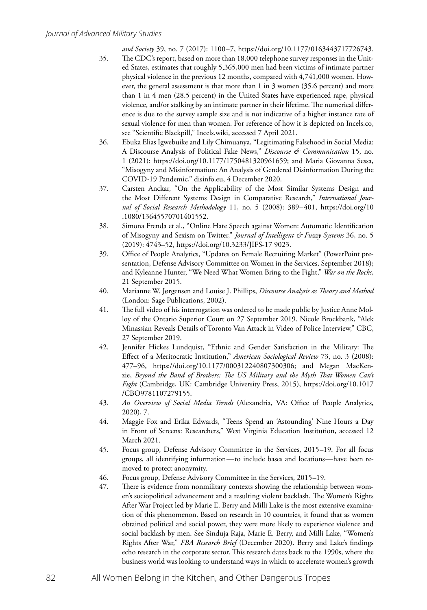*and Society* 39, no. 7 (2017): 1100–7, https://doi.org/10.1177/0163443717726743.

- 35. The CDC's report, based on more than 18,000 telephone survey responses in the United States, estimates that roughly 5,365,000 men had been victims of intimate partner physical violence in the previous 12 months, compared with 4,741,000 women. However, the general assessment is that more than 1 in 3 women (35.6 percent) and more than 1 in 4 men (28.5 percent) in the United States have experienced rape, physical violence, and/or stalking by an intimate partner in their lifetime. The numerical difference is due to the survey sample size and is not indicative of a higher instance rate of sexual violence for men than women. For reference of how it is depicted on Incels.co, see "Scientific Blackpill," Incels.wiki, accessed 7 April 2021.
- 36. Ebuka Elias Igwebuike and Lily Chimuanya, "Legitimating Falsehood in Social Media: A Discourse Analysis of Political Fake News," *Discourse & Communication* 15, no. 1 (2021): https://doi.org/10.1177/1750481320961659; and Maria Giovanna Sessa, "Misogyny and Misinformation: An Analysis of Gendered Disinformation During the COVID-19 Pandemic," disinfo.eu, 4 December 2020.
- 37. Carsten Anckar, "On the Applicability of the Most Similar Systems Design and the Most Different Systems Design in Comparative Research," *International Journal of Social Research Methodology* 11, no. 5 (2008): 389–401, https://doi.org/10 .1080/13645570701401552.
- 38. Simona Frenda et al., "Online Hate Speech against Women: Automatic Identification of Misogyny and Sexism on Twitter," *Journal of Intelligent & Fuzzy Systems* 36, no. 5 (2019): 4743–52, https://doi.org/10.3233/JIFS-17 9023.
- 39. Office of People Analytics, "Updates on Female Recruiting Market" (PowerPoint presentation, Defense Advisory Committee on Women in the Services, September 2018); and Kyleanne Hunter, "We Need What Women Bring to the Fight," *War on the Rocks*, 21 September 2015.
- 40. Marianne W. Jørgensen and Louise J. Phillips, *Discourse Analysis as Theory and Method* (London: Sage Publications, 2002).
- 41. The full video of his interrogation was ordered to be made public by Justice Anne Molloy of the Ontario Superior Court on 27 September 2019. Nicole Brockbank, "Alek Minassian Reveals Details of Toronto Van Attack in Video of Police Interview," CBC, 27 September 2019.
- 42. Jennifer Hickes Lundquist, "Ethnic and Gender Satisfaction in the Military: The Effect of a Meritocratic Institution," *American Sociological Review* 73, no. 3 (2008): 477–96, https://doi.org/10.1177/000312240807300306; and Megan MacKenzie, *Beyond the Band of Brothers: The US Military and the Myth That Women Can't Fight* (Cambridge, UK: Cambridge University Press, 2015), https://doi.org/10.1017 /CBO9781107279155.
- 43. *An Overview of Social Media Trends* (Alexandria, VA: Office of People Analytics, 2020), 7.
- 44. Maggie Fox and Erika Edwards, "Teens Spend an 'Astounding' Nine Hours a Day in Front of Screens: Researchers," West Virginia Education Institution, accessed 12 March 2021.
- 45. Focus group, Defense Advisory Committee in the Services, 2015–19. For all focus groups, all identifying information—to include bases and locations—have been removed to protect anonymity.
- 46. Focus group, Defense Advisory Committee in the Services, 2015–19.
- 47. There is evidence from nonmilitary contexts showing the relationship between women's sociopolitical advancement and a resulting violent backlash. The Women's Rights After War Project led by Marie E. Berry and Milli Lake is the most extensive examination of this phenomenon. Based on research in 10 countries, it found that as women obtained political and social power, they were more likely to experience violence and social backlash by men. [See](file:///C:\Users\Kyleanne.Hunter\AppData\Roaming\Microsoft\Word\See) Sinduja Raja, Marie E. Berry, and Milli Lake, "Women's Rights After War," *FBA Research Brief* (December 2020). Berry and Lake's findings echo research in the corporate sector. This research dates back to the 1990s, where the business world was looking to understand ways in which to accelerate women's growth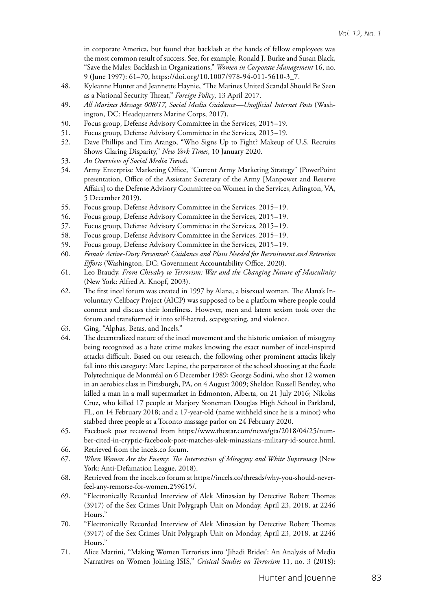in corporate America, but found that backlash at the hands of fellow employees was the most common result of success. See, for example, Ronald J. Burke and Susan Black, "Save the Males: Backlash in Organizations," *Women in Corporate Management* 16, no. 9 (June 1997): 61–70, https://doi.org/10.1007/978-94-011-5610-3\_7.

- 48. Kyleanne Hunter and Jeannette Haynie, "The Marines United Scandal Should Be Seen as a National Security Threat," *Foreign Policy*, 13 April 2017.
- 49. *All Marines Message 008/17, Social Media Guidance—Unofficial Internet Posts* (Washington, DC: Headquarters Marine Corps, 2017).
- 50. Focus group, Defense Advisory Committee in the Services, 2015–19.
- 51. Focus group, Defense Advisory Committee in the Services, 2015–19.
- 52. Dave Phillips and Tim Arango, "Who Signs Up to Fight? Makeup of U.S. Recruits Shows Glaring Disparity," *New York Times*, 10 January 2020.
- 53. *An Overview of Social Media Trends*.
- 54. Army Enterprise Marketing Office, "Current Army Marketing Strategy" (PowerPoint presentation, Office of the Assistant Secretary of the Army [Manpower and Reserve Affairs] to the Defense Advisory Committee on Women in the Services, Arlington, VA, 5 December 2019).
- 55. Focus group, Defense Advisory Committee in the Services, 2015–19.
- 56. Focus group, Defense Advisory Committee in the Services, 2015–19.
- 57. Focus group, Defense Advisory Committee in the Services, 2015–19.
- 58. Focus group, Defense Advisory Committee in the Services, 2015–19.
- 59. Focus group, Defense Advisory Committee in the Services, 2015–19.
- 60. *Female Active-Duty Personnel: Guidance and Plans Needed for Recruitment and Retention Efforts* (Washington, DC: Government Accountability Office, 2020).
- 61. Leo Braudy, *From Chivalry to Terrorism: War and the Changing Nature of Masculinity* (New York: Alfred A. Knopf, 2003).
- 62. The first incel forum was created in 1997 by Alana, a bisexual woman. The Alana's Involuntary Celibacy Project (AICP) was supposed to be a platform where people could connect and discuss their loneliness. However, men and latent sexism took over the forum and transformed it into self-hatred, scapegoating, and violence.
- 63. Ging, "Alphas, Betas, and Incels."
- 64. The decentralized nature of the incel movement and the historic omission of misogyny being recognized as a hate crime makes knowing the exact number of incel-inspired attacks difficult. Based on our research, the following other prominent attacks likely fall into this category: Marc Lepine, the perpetrator of the school shooting at the École Polytechnique de Montréal on 6 December 1989; George Sodini, who shot 12 women in an aerobics class in Pittsburgh, PA, on 4 August 2009; Sheldon Russell Bentley, who killed a man in a mall supermarket in Edmonton, Alberta, on 21 July 2016; Nikolas Cruz, who killed 17 people at Marjory Stoneman Douglas High School in Parkland, FL, on 14 February 2018; and a 17-year-old (name withheld since he is a minor) who stabbed three people at a Toronto massage parlor on 24 February 2020.
- 65. Facebook post recovered from [https://www.thestar.com/news/gta/2018/04/25/num](https://www.thestar.com/news/gta/2018/04/25/number-cited-in-cryptic-facebook-post-matches-alek-minassians-military-id-source.html)[ber-cited-in-cryptic-facebook-post-matches-alek-minassians-military-id-source.html.](https://www.thestar.com/news/gta/2018/04/25/number-cited-in-cryptic-facebook-post-matches-alek-minassians-military-id-source.html)
- 66. Retrieved from the incels.co forum.
- 67. *When Women Are the Enemy: The Intersection of Misogyny and White Supremacy* (New York: Anti-Defamation League, 2018).
- 68. Retrieved from the incels.co forum at https://incels.co/threads/why-you-should-neverfeel-any-remorse-for-women.259615/.
- 69. "Electronically Recorded Interview of Alek Minassian by Detective Robert Thomas (3917) of the Sex Crimes Unit Polygraph Unit on Monday, April 23, 2018, at 2246 Hours."
- 70. "Electronically Recorded Interview of Alek Minassian by Detective Robert Thomas (3917) of the Sex Crimes Unit Polygraph Unit on Monday, April 23, 2018, at 2246 Hours."
- 71. Alice Martini, "Making Women Terrorists into 'Jihadi Brides': An Analysis of Media Narratives on Women Joining ISIS," *Critical Studies on Terrorism* 11, no. 3 (2018):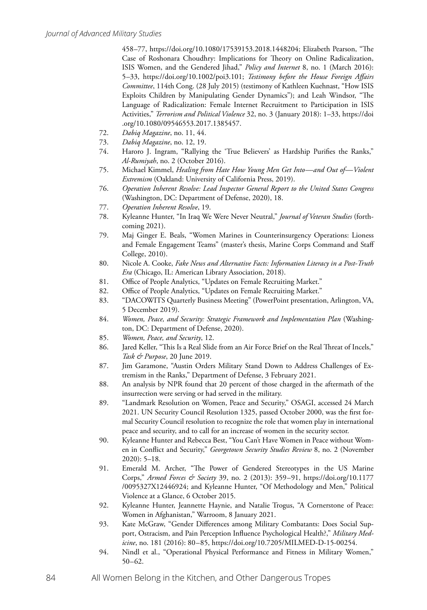458–77, https://doi.org/10.1080/17539153.2018.1448204; Elizabeth Pearson, "The Case of Roshonara Choudhry: Implications for Theory on Online Radicalization, ISIS Women, and the Gendered Jihad," *Policy and Internet* 8, no. 1 (March 2016): 5–33, https://doi.org/10.1002/poi3.101; *Testimony before the House Foreign Affairs Committee*, 114th Cong. (28 July 2015) (testimony of Kathleen Kuehnast, "How ISIS Exploits Children by Manipulating Gender Dynamics"); and Leah Windsor, "The Language of Radicalization: Female Internet Recruitment to Participation in ISIS Activities," *Terrorism and Political Violence* 32, no. 3 (January 2018): 1–33, https://doi .org/10.1080/09546553.2017.1385457.

- 72. *Dabiq Magazine*, no. 11, 44.
- 73. *Dabiq Magazine*, no. 12, 19.
- 74. [Haroro J. Ingram,](https://icct.nl/people/dr-haroro-j-ingram-associate-fellow/) "Rallying the 'True Believers' as Hardship Purifies the Ranks," *Al-Rumiyah*, no. 2 (October 2016).
- 75. Michael Kimmel, *Healing from Hate How Young Men Get Into—and Out of—Violent Extremism* (Oakland: University of California Press, 2019).
- 76. *[Operation](file:///C:\Users\Kyleanne.Hunter\Downloads\Operation) Inherent Resolve: Lead Inspector General Report to the United States Congress*  (Washington, DC: Department of Defense, 2020), 18.
- 77. *Operation Inherent Resolve*, 19.
- 78. Kyleanne Hunter, "In Iraq We Were Never Neutral," *Journal of Veteran Studies* (forthcoming 2021).
- 79. Maj Ginger E. Beals, "Women Marines in Counterinsurgency Operations: Lioness and Female Engagement Teams" (master's thesis, Marine Corps Command and Staff College, 2010).
- 80. Nicole A. Cooke, *Fake News and Alternative Facts: Information Literacy in a Post-Truth Era* (Chicago, IL: American Library Association, 2018).
- 81. Office of People Analytics, "Updates on Female Recruiting Market."
- 82. Office of People Analytics, "Updates on Female Recruiting Market."
- 83. "DACOWITS Quarterly Business Meeting" (PowerPoint presentation, Arlington, VA, 5 December 2019).
- 84. *Women, Peace, and Security: Strategic Framework and Implementation Plan* (Washington, DC: Department of Defense, 2020).
- 85. *Women, Peace, and Security*, 12.
- 86. Jared Keller, "This Is a Real Slide from an Air Force Brief on the Real Threat of Incels," *Task & Purpose*, 20 June 2019.
- 87. Jim Garamone, "Austin Orders Military Stand Down to Address Challenges of Extremism in the Ranks," Department of Defense, 3 February 2021.
- 88. An analysis by NPR found that 20 percent of those charged in the aftermath of the insurrection were serving or had served in the military.
- 89. "Landmark Resolution on Women, Peace and Security," OSAGI, accessed 24 March 2021. UN Security Council Resolution 1325, passed October 2000, was the first formal Security Council resolution to recognize the role that women play in international peace and security, and to call for an increase of women in the security sector.
- 90. Kyleanne Hunter and Rebecca Best, "You Can't Have Women in Peace without Women in Conflict and Security," *Georgetown Security Studies Review* 8, no. 2 (November 2020): 5–18.
- 91. Emerald M. Archer, "The Power of Gendered Stereotypes in the US Marine Corps," *Armed Forces & Society* 39, no. 2 (2013): 359–91, https://doi.org/10.1177 /0095327X12446924; and Kyleanne Hunter, "Of Methodology and Men," Political Violence at a Glance, 6 October 2015.
- 92. Kyleanne Hunter, Jeannette Haynie, and Natalie Trogus, "A Cornerstone of Peace: Women in Afghanistan," Warroom, 8 January 2021.
- 93. Kate McGraw, "Gender Differences among Military Combatants: Does Social Support, Ostracism, and Pain Perception Influence Psychological Health?," *Military Medicine*, no. 181 (2016): 80–85, https://doi.org/10.7205/MILMED-D-15-00254.
- 94. Nindl et al., "Operational Physical Performance and Fitness in Military Women," 50–62.
- 84 All Women Belong in the Kitchen, and Other Dangerous Tropes